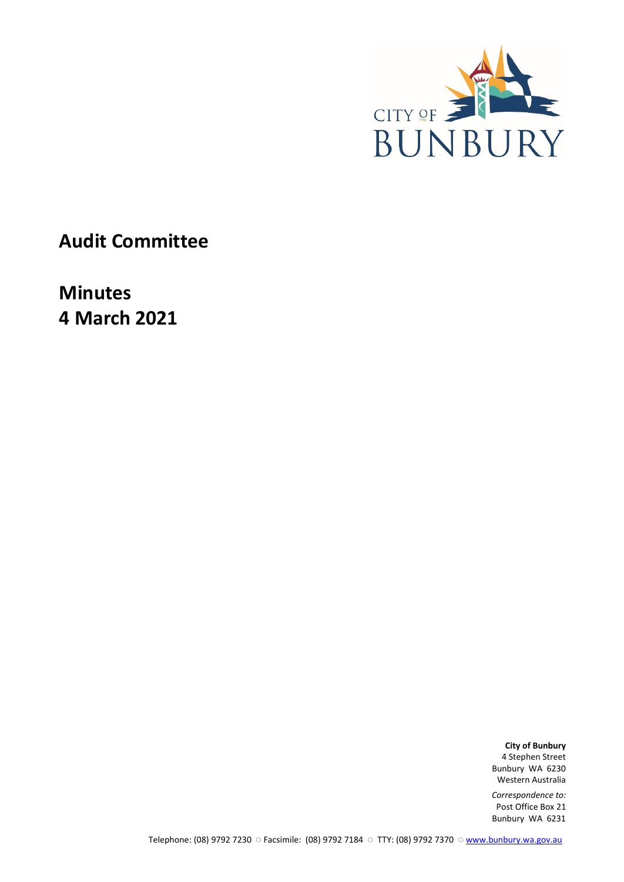

**Audit Committee**

**Minutes 4 March 2021**

> **City of Bunbury** 4 Stephen Street Bunbury WA 6230 Western Australia

*Correspondence to:* Post Office Box 21 Bunbury WA 6231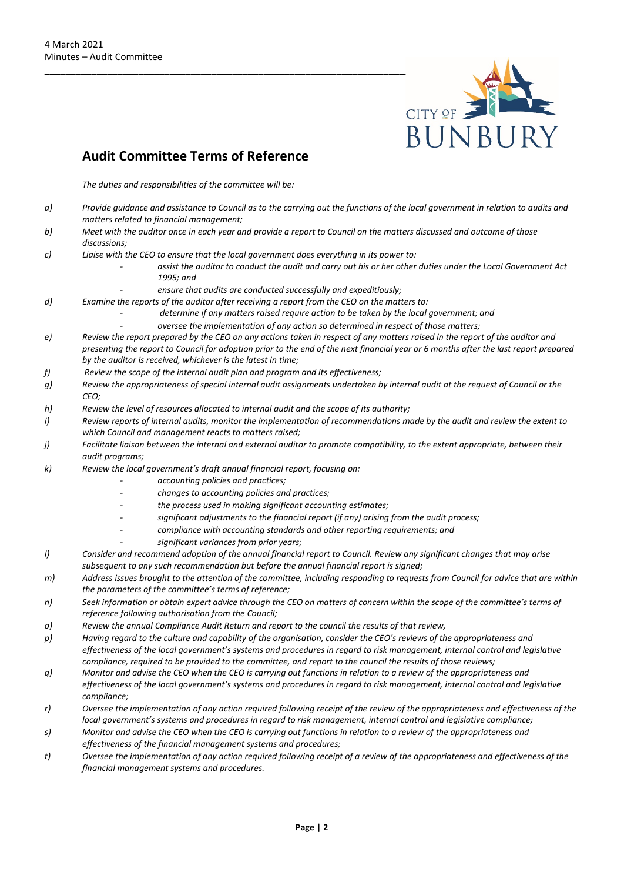

## **Audit Committee Terms of Reference**

*The duties and responsibilities of the committee will be:*

- *a) Provide guidance and assistance to Council as to the carrying out the functions of the local government in relation to audits and matters related to financial management;*
- *b) Meet with the auditor once in each year and provide a report to Council on the matters discussed and outcome of those discussions;*
- *c) Liaise with the CEO to ensure that the local government does everything in its power to:* 
	- *- assist the auditor to conduct the audit and carry out his or her other duties under the Local Government Act 1995; and* 
		- *- ensure that audits are conducted successfully and expeditiously;*
- *d) Examine the reports of the auditor after receiving a report from the CEO on the matters to:* 
	- *- determine if any matters raised require action to be taken by the local government; and*
	- *- oversee the implementation of any action so determined in respect of those matters;*
- *e) Review the report prepared by the CEO on any actions taken in respect of any matters raised in the report of the auditor and presenting the report to Council for adoption prior to the end of the next financial year or 6 months after the last report prepared by the auditor is received, whichever is the latest in time;*
- *f) Review the scope of the internal audit plan and program and its effectiveness;*
- *g) Review the appropriateness of special internal audit assignments undertaken by internal audit at the request of Council or the CEO;*
- *h) Review the level of resources allocated to internal audit and the scope of its authority;*
- *i) Review reports of internal audits, monitor the implementation of recommendations made by the audit and review the extent to which Council and management reacts to matters raised;*
- *j) Facilitate liaison between the internal and external auditor to promote compatibility, to the extent appropriate, between their audit programs;*
- *k) Review the local government's draft annual financial report, focusing on:* 
	- *- accounting policies and practices;*
	- *- changes to accounting policies and practices;*
	- *- the process used in making significant accounting estimates;*
	- *- significant adjustments to the financial report (if any) arising from the audit process;*
	- *- compliance with accounting standards and other reporting requirements; and* 
		- *- significant variances from prior years;*
- *l) Consider and recommend adoption of the annual financial report to Council. Review any significant changes that may arise subsequent to any such recommendation but before the annual financial report is signed;*
- *m) Address issues brought to the attention of the committee, including responding to requests from Council for advice that are within the parameters of the committee's terms of reference;*
- *n) Seek information or obtain expert advice through the CEO on matters of concern within the scope of the committee's terms of reference following authorisation from the Council;*
- *o) Review the annual Compliance Audit Return and report to the council the results of that review,*
- *p) Having regard to the culture and capability of the organisation, consider the CEO's reviews of the appropriateness and effectiveness of the local government's systems and procedures in regard to risk management, internal control and legislative compliance, required to be provided to the committee, and report to the council the results of those reviews;*
- *q) Monitor and advise the CEO when the CEO is carrying out functions in relation to a review of the appropriateness and effectiveness of the local government's systems and procedures in regard to risk management, internal control and legislative compliance;*
- *r) Oversee the implementation of any action required following receipt of the review of the appropriateness and effectiveness of the local government's systems and procedures in regard to risk management, internal control and legislative compliance;*
- *s) Monitor and advise the CEO when the CEO is carrying out functions in relation to a review of the appropriateness and effectiveness of the financial management systems and procedures;*
- *t) Oversee the implementation of any action required following receipt of a review of the appropriateness and effectiveness of the financial management systems and procedures.*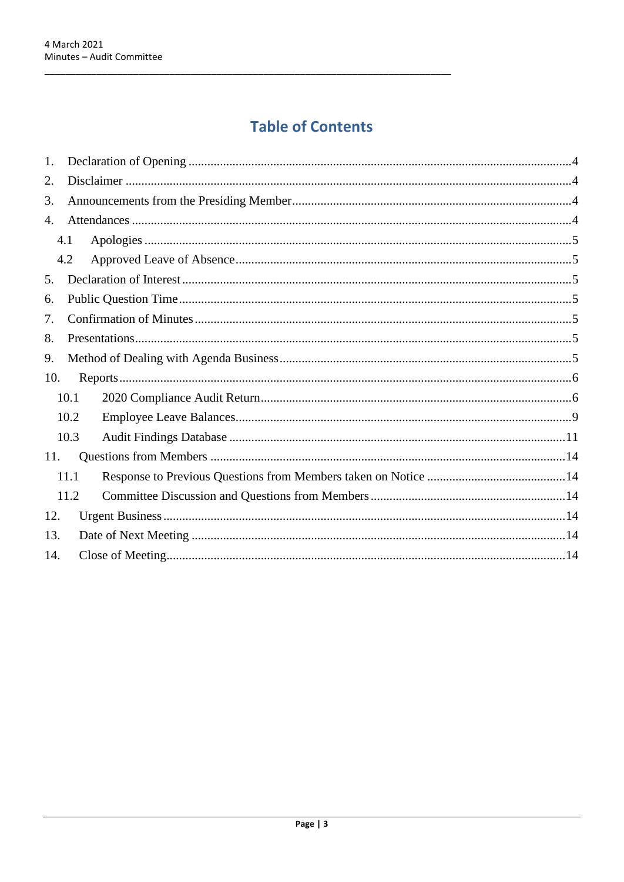# **Table of Contents**

| 7. |                                                    |  |
|----|----------------------------------------------------|--|
|    |                                                    |  |
|    |                                                    |  |
|    |                                                    |  |
|    |                                                    |  |
|    |                                                    |  |
|    |                                                    |  |
|    |                                                    |  |
|    |                                                    |  |
|    |                                                    |  |
|    |                                                    |  |
|    |                                                    |  |
|    |                                                    |  |
|    | 4.1<br>4.2<br>10.1<br>10.2<br>10.3<br>11.1<br>11.2 |  |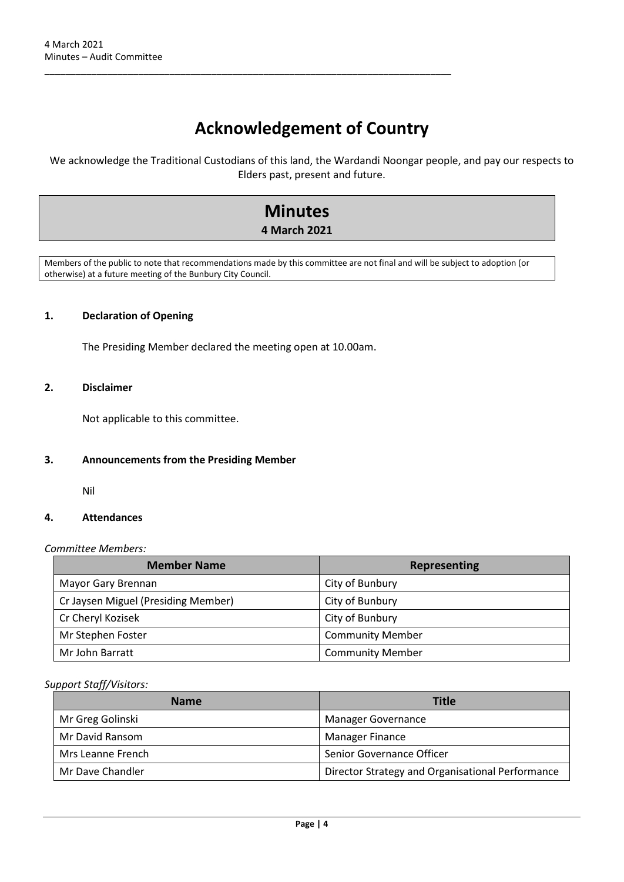# **Acknowledgement of Country**

We acknowledge the Traditional Custodians of this land, the Wardandi Noongar people, and pay our respects to Elders past, present and future.

# **Minutes**

## **4 March 2021**

Members of the public to note that recommendations made by this committee are not final and will be subject to adoption (or otherwise) at a future meeting of the Bunbury City Council.

#### <span id="page-3-0"></span>**1. Declaration of Opening**

The Presiding Member declared the meeting open at 10.00am.

\_\_\_\_\_\_\_\_\_\_\_\_\_\_\_\_\_\_\_\_\_\_\_\_\_\_\_\_\_\_\_\_\_\_\_\_\_\_\_\_\_\_\_\_\_\_\_\_\_\_\_\_\_\_\_\_\_\_\_\_\_\_\_\_\_\_\_\_\_\_\_\_\_\_\_\_\_\_

## <span id="page-3-1"></span>**2. Disclaimer**

Not applicable to this committee.

#### <span id="page-3-2"></span>**3. Announcements from the Presiding Member**

Nil

#### <span id="page-3-3"></span>**4. Attendances**

#### *Committee Members:*

| <b>Member Name</b>                  | <b>Representing</b>     |
|-------------------------------------|-------------------------|
| Mayor Gary Brennan                  | City of Bunbury         |
| Cr Jaysen Miguel (Presiding Member) | City of Bunbury         |
| Cr Cheryl Kozisek                   | City of Bunbury         |
| Mr Stephen Foster                   | <b>Community Member</b> |
| Mr John Barratt                     | <b>Community Member</b> |

#### *Support Staff/Visitors:*

| <b>Name</b>       | Title                                            |
|-------------------|--------------------------------------------------|
| Mr Greg Golinski  | <b>Manager Governance</b>                        |
| Mr David Ransom   | <b>Manager Finance</b>                           |
| Mrs Leanne French | Senior Governance Officer                        |
| Mr Dave Chandler  | Director Strategy and Organisational Performance |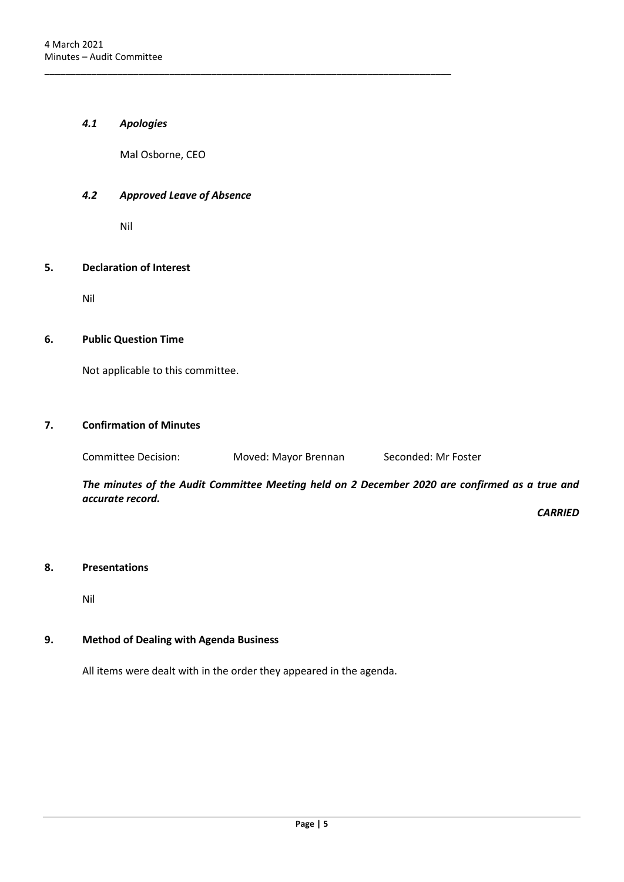#### <span id="page-4-0"></span>*4.1 Apologies*

Mal Osborne, CEO

\_\_\_\_\_\_\_\_\_\_\_\_\_\_\_\_\_\_\_\_\_\_\_\_\_\_\_\_\_\_\_\_\_\_\_\_\_\_\_\_\_\_\_\_\_\_\_\_\_\_\_\_\_\_\_\_\_\_\_\_\_\_\_\_\_\_\_\_\_\_\_\_\_\_\_\_\_\_

#### <span id="page-4-1"></span>*4.2 Approved Leave of Absence*

Nil

#### <span id="page-4-2"></span>**5. Declaration of Interest**

Nil

#### <span id="page-4-3"></span>**6. Public Question Time**

Not applicable to this committee.

## <span id="page-4-4"></span>**7. Confirmation of Minutes**

Committee Decision: Moved: Mayor Brennan Seconded: Mr Foster

*The minutes of the Audit Committee Meeting held on 2 December 2020 are confirmed as a true and accurate record.*

*CARRIED*

#### <span id="page-4-5"></span>**8. Presentations**

Nil

## <span id="page-4-6"></span>**9. Method of Dealing with Agenda Business**

All items were dealt with in the order they appeared in the agenda.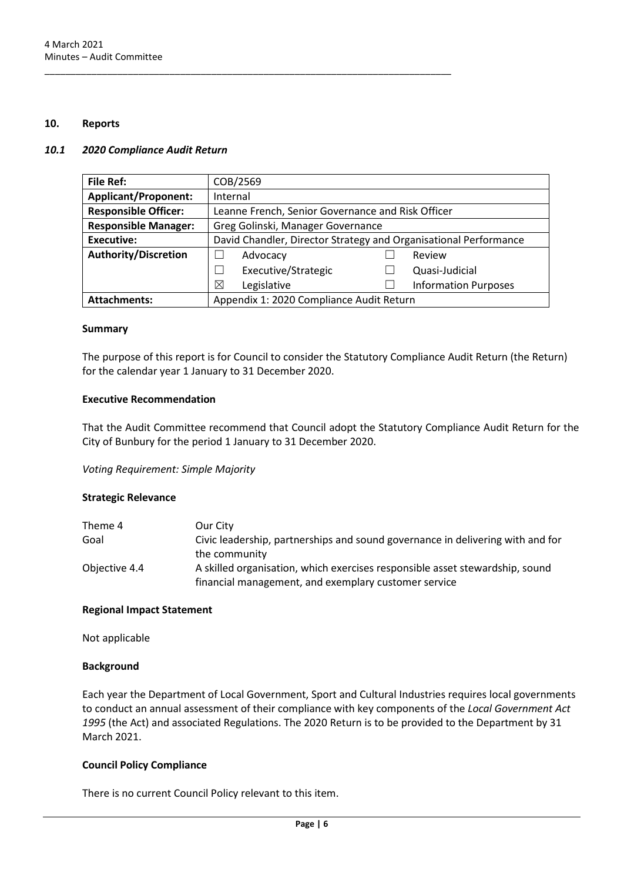#### <span id="page-5-0"></span>**10. Reports**

#### <span id="page-5-1"></span>*10.1 2020 Compliance Audit Return*

| <b>File Ref:</b>            | COB/2569                                                         |  |                             |
|-----------------------------|------------------------------------------------------------------|--|-----------------------------|
| <b>Applicant/Proponent:</b> | Internal                                                         |  |                             |
| <b>Responsible Officer:</b> | Leanne French, Senior Governance and Risk Officer                |  |                             |
| <b>Responsible Manager:</b> | Greg Golinski, Manager Governance                                |  |                             |
| <b>Executive:</b>           | David Chandler, Director Strategy and Organisational Performance |  |                             |
| <b>Authority/Discretion</b> | Advocacy                                                         |  | Review                      |
|                             | Executive/Strategic                                              |  | Quasi-Judicial              |
|                             | Legislative<br>⊠                                                 |  | <b>Information Purposes</b> |
| <b>Attachments:</b>         | Appendix 1: 2020 Compliance Audit Return                         |  |                             |

\_\_\_\_\_\_\_\_\_\_\_\_\_\_\_\_\_\_\_\_\_\_\_\_\_\_\_\_\_\_\_\_\_\_\_\_\_\_\_\_\_\_\_\_\_\_\_\_\_\_\_\_\_\_\_\_\_\_\_\_\_\_\_\_\_\_\_\_\_\_\_\_\_\_\_\_\_\_

#### **Summary**

The purpose of this report is for Council to consider the Statutory Compliance Audit Return (the Return) for the calendar year 1 January to 31 December 2020.

#### **Executive Recommendation**

That the Audit Committee recommend that Council adopt the Statutory Compliance Audit Return for the City of Bunbury for the period 1 January to 31 December 2020.

*Voting Requirement: Simple Majority* 

#### **Strategic Relevance**

| Theme 4       | Our City                                                                       |
|---------------|--------------------------------------------------------------------------------|
| Goal          | Civic leadership, partnerships and sound governance in delivering with and for |
|               | the community                                                                  |
| Objective 4.4 | A skilled organisation, which exercises responsible asset stewardship, sound   |
|               | financial management, and exemplary customer service                           |

#### **Regional Impact Statement**

Not applicable

#### **Background**

Each year the Department of Local Government, Sport and Cultural Industries requires local governments to conduct an annual assessment of their compliance with key components of the *Local Government Act 1995* (the Act) and associated Regulations. The 2020 Return is to be provided to the Department by 31 March 2021.

#### **Council Policy Compliance**

There is no current Council Policy relevant to this item.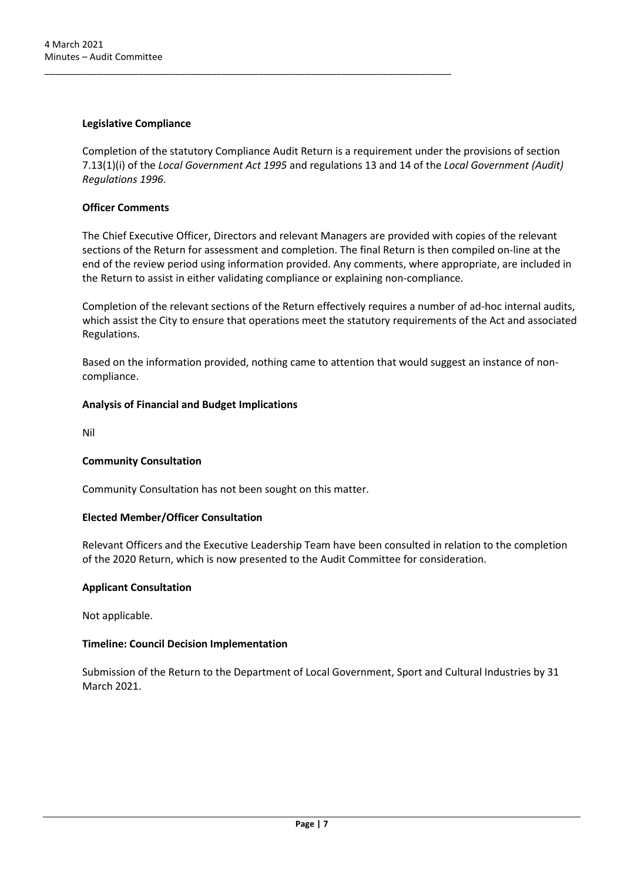#### **Legislative Compliance**

Completion of the statutory Compliance Audit Return is a requirement under the provisions of section 7.13(1)(i) of the *Local Government Act 1995* and regulations 13 and 14 of the *Local Government (Audit) Regulations 1996*.

\_\_\_\_\_\_\_\_\_\_\_\_\_\_\_\_\_\_\_\_\_\_\_\_\_\_\_\_\_\_\_\_\_\_\_\_\_\_\_\_\_\_\_\_\_\_\_\_\_\_\_\_\_\_\_\_\_\_\_\_\_\_\_\_\_\_\_\_\_\_\_\_\_\_\_\_\_\_

### **Officer Comments**

The Chief Executive Officer, Directors and relevant Managers are provided with copies of the relevant sections of the Return for assessment and completion. The final Return is then compiled on-line at the end of the review period using information provided. Any comments, where appropriate, are included in the Return to assist in either validating compliance or explaining non-compliance.

Completion of the relevant sections of the Return effectively requires a number of ad-hoc internal audits, which assist the City to ensure that operations meet the statutory requirements of the Act and associated Regulations.

Based on the information provided, nothing came to attention that would suggest an instance of noncompliance.

#### **Analysis of Financial and Budget Implications**

Nil

## **Community Consultation**

Community Consultation has not been sought on this matter.

#### **Elected Member/Officer Consultation**

Relevant Officers and the Executive Leadership Team have been consulted in relation to the completion of the 2020 Return, which is now presented to the Audit Committee for consideration.

#### **Applicant Consultation**

Not applicable.

## **Timeline: Council Decision Implementation**

Submission of the Return to the Department of Local Government, Sport and Cultural Industries by 31 March 2021.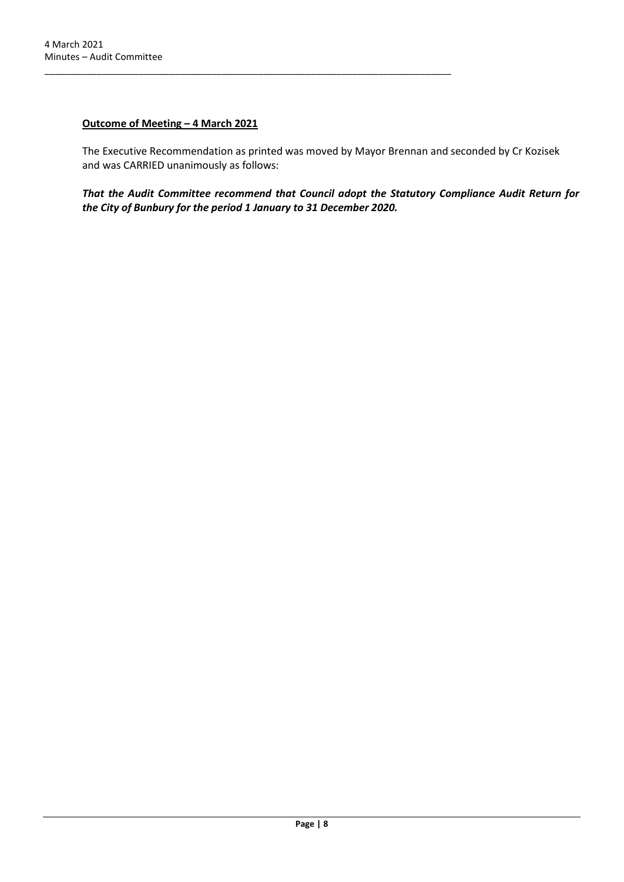### **Outcome of Meeting – 4 March 2021**

\_\_\_\_\_\_\_\_\_\_\_\_\_\_\_\_\_\_\_\_\_\_\_\_\_\_\_\_\_\_\_\_\_\_\_\_\_\_\_\_\_\_\_\_\_\_\_\_\_\_\_\_\_\_\_\_\_\_\_\_\_\_\_\_\_\_\_\_\_\_\_\_\_\_\_\_\_\_

The Executive Recommendation as printed was moved by Mayor Brennan and seconded by Cr Kozisek and was CARRIED unanimously as follows:

*That the Audit Committee recommend that Council adopt the Statutory Compliance Audit Return for the City of Bunbury for the period 1 January to 31 December 2020.*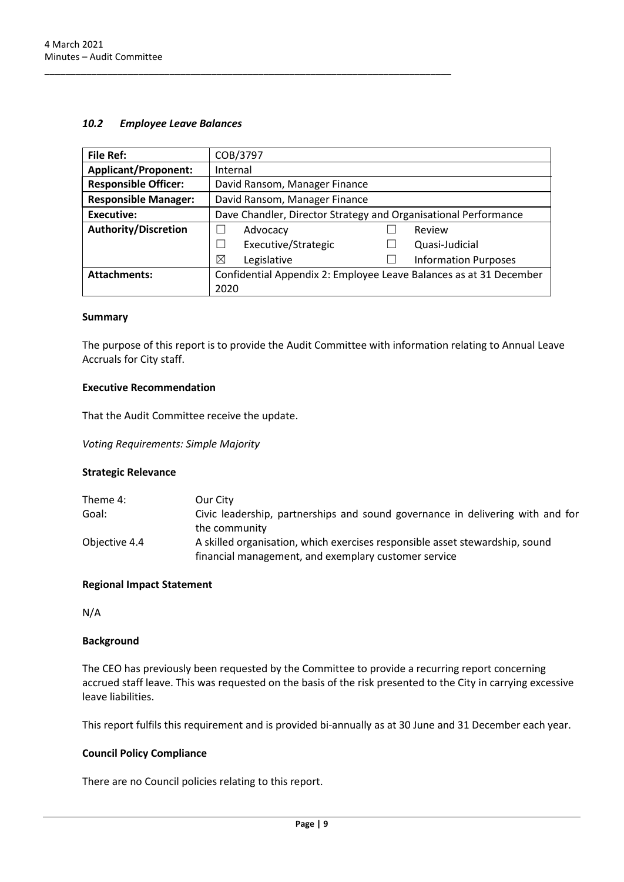#### <span id="page-8-0"></span>*10.2 Employee Leave Balances*

\_\_\_\_\_\_\_\_\_\_\_\_\_\_\_\_\_\_\_\_\_\_\_\_\_\_\_\_\_\_\_\_\_\_\_\_\_\_\_\_\_\_\_\_\_\_\_\_\_\_\_\_\_\_\_\_\_\_\_\_\_\_\_\_\_\_\_\_\_\_\_\_\_\_\_\_\_\_

| <b>File Ref:</b>            | COB/3797                                                           |  |                             |
|-----------------------------|--------------------------------------------------------------------|--|-----------------------------|
| <b>Applicant/Proponent:</b> | Internal                                                           |  |                             |
| <b>Responsible Officer:</b> | David Ransom, Manager Finance                                      |  |                             |
| <b>Responsible Manager:</b> | David Ransom, Manager Finance                                      |  |                             |
| Executive:                  | Dave Chandler, Director Strategy and Organisational Performance    |  |                             |
| <b>Authority/Discretion</b> | Advocacy                                                           |  | Review                      |
|                             | Executive/Strategic                                                |  | Quasi-Judicial              |
|                             | ⊠<br>Legislative                                                   |  | <b>Information Purposes</b> |
| <b>Attachments:</b>         | Confidential Appendix 2: Employee Leave Balances as at 31 December |  |                             |
|                             | 2020                                                               |  |                             |

#### **Summary**

The purpose of this report is to provide the Audit Committee with information relating to Annual Leave Accruals for City staff.

#### **Executive Recommendation**

That the Audit Committee receive the update.

*Voting Requirements: Simple Majority*

#### **Strategic Relevance**

| Theme 4:      | Our City                                                                       |
|---------------|--------------------------------------------------------------------------------|
| Goal:         | Civic leadership, partnerships and sound governance in delivering with and for |
|               | the community                                                                  |
| Objective 4.4 | A skilled organisation, which exercises responsible asset stewardship, sound   |
|               | financial management, and exemplary customer service                           |

#### **Regional Impact Statement**

N/A

#### **Background**

The CEO has previously been requested by the Committee to provide a recurring report concerning accrued staff leave. This was requested on the basis of the risk presented to the City in carrying excessive leave liabilities.

This report fulfils this requirement and is provided bi-annually as at 30 June and 31 December each year.

#### **Council Policy Compliance**

There are no Council policies relating to this report.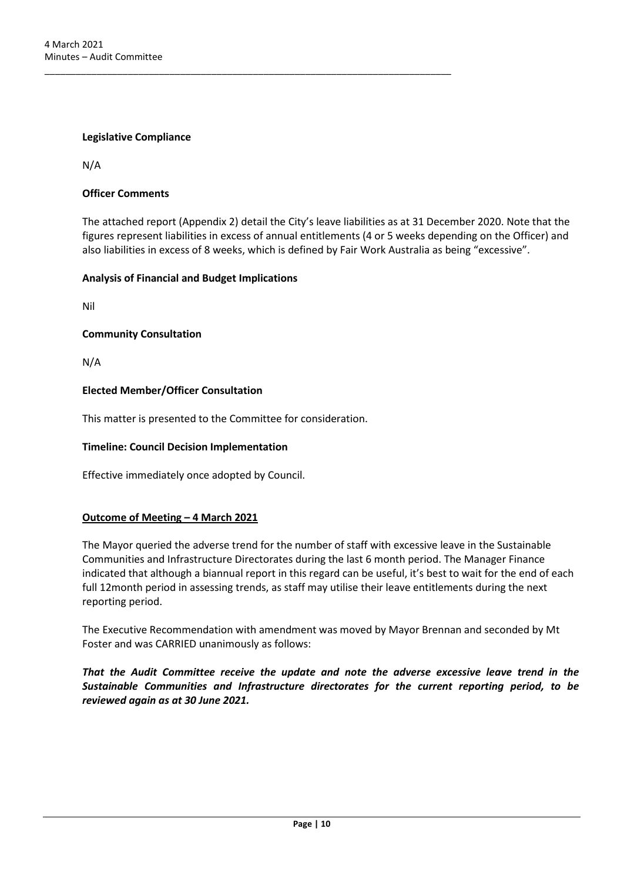#### **Legislative Compliance**

N/A

#### **Officer Comments**

The attached report (Appendix 2) detail the City's leave liabilities as at 31 December 2020. Note that the figures represent liabilities in excess of annual entitlements (4 or 5 weeks depending on the Officer) and also liabilities in excess of 8 weeks, which is defined by Fair Work Australia as being "excessive".

#### **Analysis of Financial and Budget Implications**

Nil

#### **Community Consultation**

N/A

#### **Elected Member/Officer Consultation**

This matter is presented to the Committee for consideration.

\_\_\_\_\_\_\_\_\_\_\_\_\_\_\_\_\_\_\_\_\_\_\_\_\_\_\_\_\_\_\_\_\_\_\_\_\_\_\_\_\_\_\_\_\_\_\_\_\_\_\_\_\_\_\_\_\_\_\_\_\_\_\_\_\_\_\_\_\_\_\_\_\_\_\_\_\_\_

#### **Timeline: Council Decision Implementation**

Effective immediately once adopted by Council.

#### **Outcome of Meeting – 4 March 2021**

The Mayor queried the adverse trend for the number of staff with excessive leave in the Sustainable Communities and Infrastructure Directorates during the last 6 month period. The Manager Finance indicated that although a biannual report in this regard can be useful, it's best to wait for the end of each full 12month period in assessing trends, as staff may utilise their leave entitlements during the next reporting period.

The Executive Recommendation with amendment was moved by Mayor Brennan and seconded by Mt Foster and was CARRIED unanimously as follows:

*That the Audit Committee receive the update and note the adverse excessive leave trend in the Sustainable Communities and Infrastructure directorates for the current reporting period, to be reviewed again as at 30 June 2021.*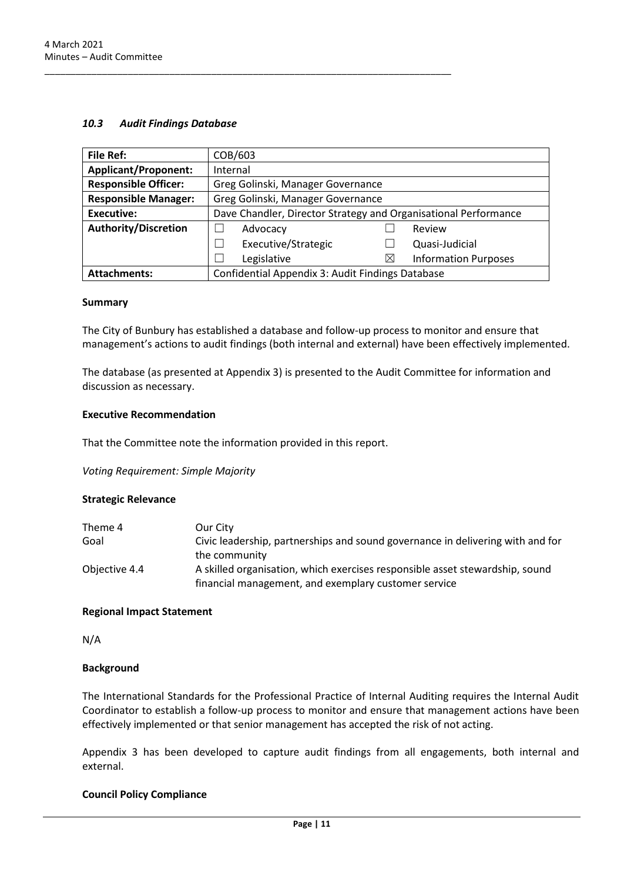#### <span id="page-10-0"></span>*10.3 Audit Findings Database*

| <b>File Ref:</b>            | COB/603                                                         |          |                             |
|-----------------------------|-----------------------------------------------------------------|----------|-----------------------------|
| <b>Applicant/Proponent:</b> | Internal                                                        |          |                             |
| <b>Responsible Officer:</b> | Greg Golinski, Manager Governance                               |          |                             |
| <b>Responsible Manager:</b> | Greg Golinski, Manager Governance                               |          |                             |
| <b>Executive:</b>           | Dave Chandler, Director Strategy and Organisational Performance |          |                             |
| <b>Authority/Discretion</b> | Advocacy                                                        |          | Review                      |
|                             | Executive/Strategic                                             |          | Quasi-Judicial              |
|                             | Legislative                                                     | $\times$ | <b>Information Purposes</b> |
| <b>Attachments:</b>         | Confidential Appendix 3: Audit Findings Database                |          |                             |

#### **Summary**

The City of Bunbury has established a database and follow-up process to monitor and ensure that management's actions to audit findings (both internal and external) have been effectively implemented.

The database (as presented at Appendix 3) is presented to the Audit Committee for information and discussion as necessary.

#### **Executive Recommendation**

That the Committee note the information provided in this report.

\_\_\_\_\_\_\_\_\_\_\_\_\_\_\_\_\_\_\_\_\_\_\_\_\_\_\_\_\_\_\_\_\_\_\_\_\_\_\_\_\_\_\_\_\_\_\_\_\_\_\_\_\_\_\_\_\_\_\_\_\_\_\_\_\_\_\_\_\_\_\_\_\_\_\_\_\_\_

*Voting Requirement: Simple Majority*

#### **Strategic Relevance**

| Theme 4       | Our City                                                                       |
|---------------|--------------------------------------------------------------------------------|
| Goal          | Civic leadership, partnerships and sound governance in delivering with and for |
|               | the community                                                                  |
| Objective 4.4 | A skilled organisation, which exercises responsible asset stewardship, sound   |
|               | financial management, and exemplary customer service                           |

#### **Regional Impact Statement**

N/A

#### **Background**

The International Standards for the Professional Practice of Internal Auditing requires the Internal Audit Coordinator to establish a follow-up process to monitor and ensure that management actions have been effectively implemented or that senior management has accepted the risk of not acting.

Appendix 3 has been developed to capture audit findings from all engagements, both internal and external.

#### **Council Policy Compliance**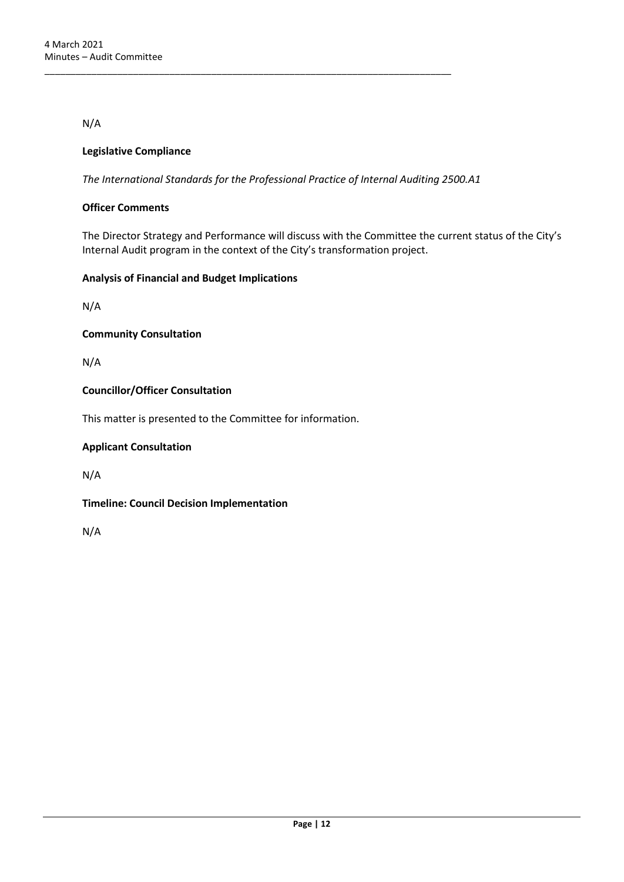N/A

### **Legislative Compliance**

*The International Standards for the Professional Practice of Internal Auditing 2500.A1*

\_\_\_\_\_\_\_\_\_\_\_\_\_\_\_\_\_\_\_\_\_\_\_\_\_\_\_\_\_\_\_\_\_\_\_\_\_\_\_\_\_\_\_\_\_\_\_\_\_\_\_\_\_\_\_\_\_\_\_\_\_\_\_\_\_\_\_\_\_\_\_\_\_\_\_\_\_\_

#### **Officer Comments**

The Director Strategy and Performance will discuss with the Committee the current status of the City's Internal Audit program in the context of the City's transformation project.

#### **Analysis of Financial and Budget Implications**

N/A

**Community Consultation**

N/A

#### **Councillor/Officer Consultation**

This matter is presented to the Committee for information.

#### **Applicant Consultation**

N/A

**Timeline: Council Decision Implementation**

N/A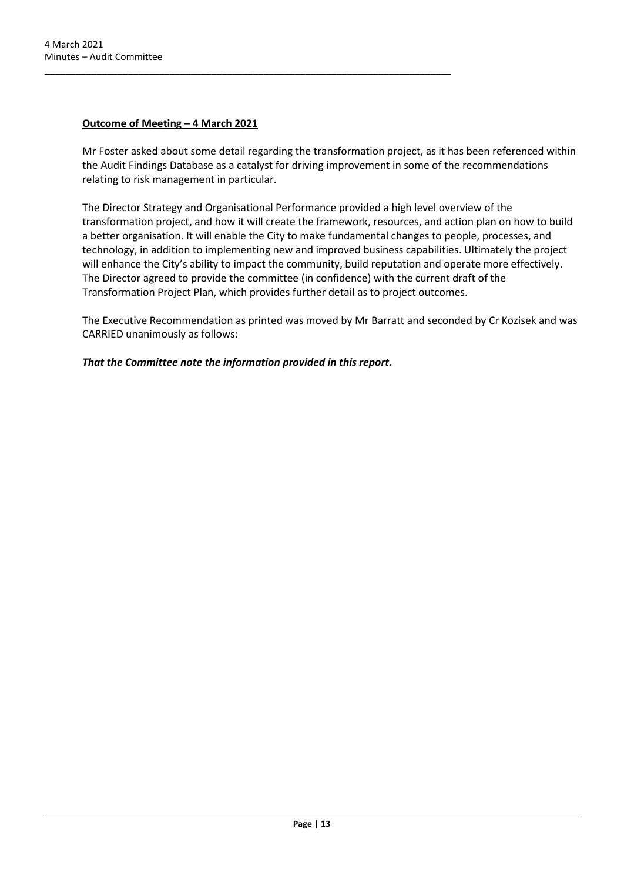#### **Outcome of Meeting – 4 March 2021**

Mr Foster asked about some detail regarding the transformation project, as it has been referenced within the Audit Findings Database as a catalyst for driving improvement in some of the recommendations relating to risk management in particular.

The Director Strategy and Organisational Performance provided a high level overview of the transformation project, and how it will create the framework, resources, and action plan on how to build a better organisation. It will enable the City to make fundamental changes to people, processes, and technology, in addition to implementing new and improved business capabilities. Ultimately the project will enhance the City's ability to impact the community, build reputation and operate more effectively. The Director agreed to provide the committee (in confidence) with the current draft of the Transformation Project Plan, which provides further detail as to project outcomes.

The Executive Recommendation as printed was moved by Mr Barratt and seconded by Cr Kozisek and was CARRIED unanimously as follows:

#### *That the Committee note the information provided in this report.*

\_\_\_\_\_\_\_\_\_\_\_\_\_\_\_\_\_\_\_\_\_\_\_\_\_\_\_\_\_\_\_\_\_\_\_\_\_\_\_\_\_\_\_\_\_\_\_\_\_\_\_\_\_\_\_\_\_\_\_\_\_\_\_\_\_\_\_\_\_\_\_\_\_\_\_\_\_\_